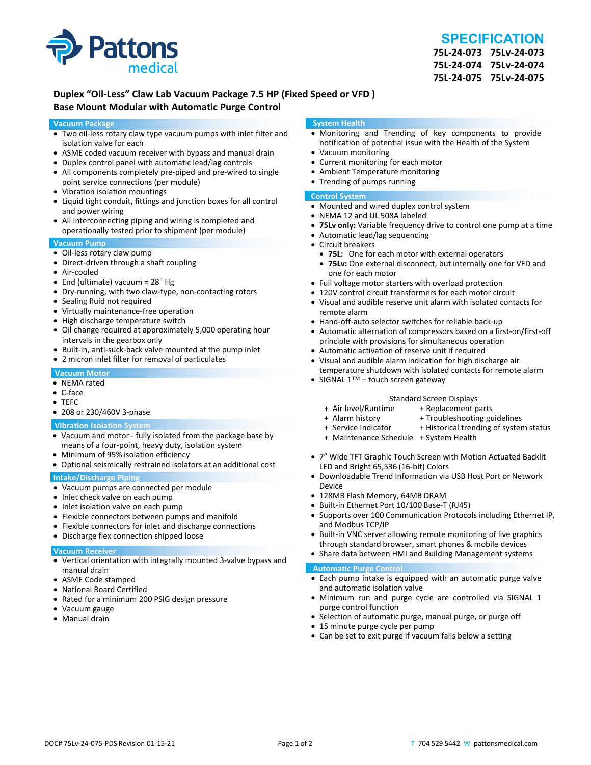

# **SPECIFICATION**

**75L‐24‐073 75Lv‐24‐073 75L‐24‐074 75Lv‐24‐074 75L‐24‐075 75Lv‐24‐075**

## **Duplex "Oil‐Less" Claw Lab Vacuum Package 7.5 HP (Fixed Speed or VFD ) Base Mount Modular with Automatic Purge Control**

#### **Vacuum Package**

- Two oil‐less rotary claw type vacuum pumps with inlet filter and isolation valve for each
- ASME coded vacuum receiver with bypass and manual drain
- Duplex control panel with automatic lead/lag controls
- All components completely pre-piped and pre-wired to single point service connections (per module)
- Vibration isolation mountings
- Liquid tight conduit, fittings and junction boxes for all control and power wiring
- All interconnecting piping and wiring is completed and operationally tested prior to shipment (per module)

#### **Vacuum Pump**

- Oil-less rotary claw pump
- Direct-driven through a shaft coupling
- Air‐cooled
- End (ultimate) vacuum = 28" Hg
- Dry-running, with two claw-type, non-contacting rotors
- Sealing fluid not required
- Virtually maintenance-free operation
- High discharge temperature switch
- Oil change required at approximately 5,000 operating hour intervals in the gearbox only
- Built-in, anti-suck-back valve mounted at the pump inlet
- 2 micron inlet filter for removal of particulates

#### **Vacuum Motor**

- NEMA rated
- C‐face
- TEFC
- 208 or 230/460V 3‐phase

#### **Vibration Isolation System**

- Vacuum and motor ‐ fully isolated from the package base by means of a four‐point, heavy duty, isolation system
- Minimum of 95% isolation efficiency
- Optional seismically restrained isolators at an additional cost

#### **Intake/Discharge Piping**

- Vacuum pumps are connected per module
- Inlet check valve on each pump
- Inlet isolation valve on each pump
- Flexible connectors between pumps and manifold
- Flexible connectors for inlet and discharge connections
- Discharge flex connection shipped loose

#### **Vacuum Receiver**

- Vertical orientation with integrally mounted 3‐valve bypass and manual drain
- ASME Code stamped
- National Board Certified
- Rated for a minimum 200 PSIG design pressure
- Vacuum gauge
- Manual drain

#### **System Health**

- Monitoring and Trending of key components to provide notification of potential issue with the Health of the System
- Vacuum monitoring
- Current monitoring for each motor
- Ambient Temperature monitoring
- Trending of pumps running

#### **Control System**

- Mounted and wired duplex control system
- NEMA 12 and UL 508A labeled
- **75Lv only:** Variable frequency drive to control one pump at a time
- Automatic lead/lag sequencing
- Circuit breakers
- **75L:** One for each motor with external operators
- **75Lv:** One external disconnect, but internally one for VFD and one for each motor
- Full voltage motor starters with overload protection
- 120V control circuit transformers for each motor circuit
- Visual and audible reserve unit alarm with isolated contacts for remote alarm
- Hand-off-auto selector switches for reliable back-up
- Automatic alternation of compressors based on a first-on/first-off principle with provisions for simultaneous operation
- Automatic activation of reserve unit if required
- Visual and audible alarm indication for high discharge air temperature shutdown with isolated contacts for remote alarm
- SIGNAL 1™ touch screen gateway

# Standard Screen Displays<br>Air level/Runtime + Replacement p +

- + Air level/Runtime + Replacement parts
- 
- + Troubleshooting guidelines
- + Service Indicator + Historical trending of system status
- + Maintenance Schedule + System Health
- 7" Wide TFT Graphic Touch Screen with Motion Actuated Backlit LED and Bright 65,536 (16‐bit) Colors
- Downloadable Trend Information via USB Host Port or Network Device
- 128MB Flash Memory, 64MB DRAM
- Built-in Ethernet Port 10/100 Base-T (RJ45)
- Supports over 100 Communication Protocols including Ethernet IP, and Modbus TCP/IP
- Built-in VNC server allowing remote monitoring of live graphics through standard browser, smart phones & mobile devices
- Share data between HMI and Building Management systems

#### **Automatic Purge Control**

- Each pump intake is equipped with an automatic purge valve and automatic isolation valve
- Minimum run and purge cycle are controlled via SIGNAL 1 purge control function
- Selection of automatic purge, manual purge, or purge off
- 15 minute purge cycle per pump
- Can be set to exit purge if vacuum falls below a setting